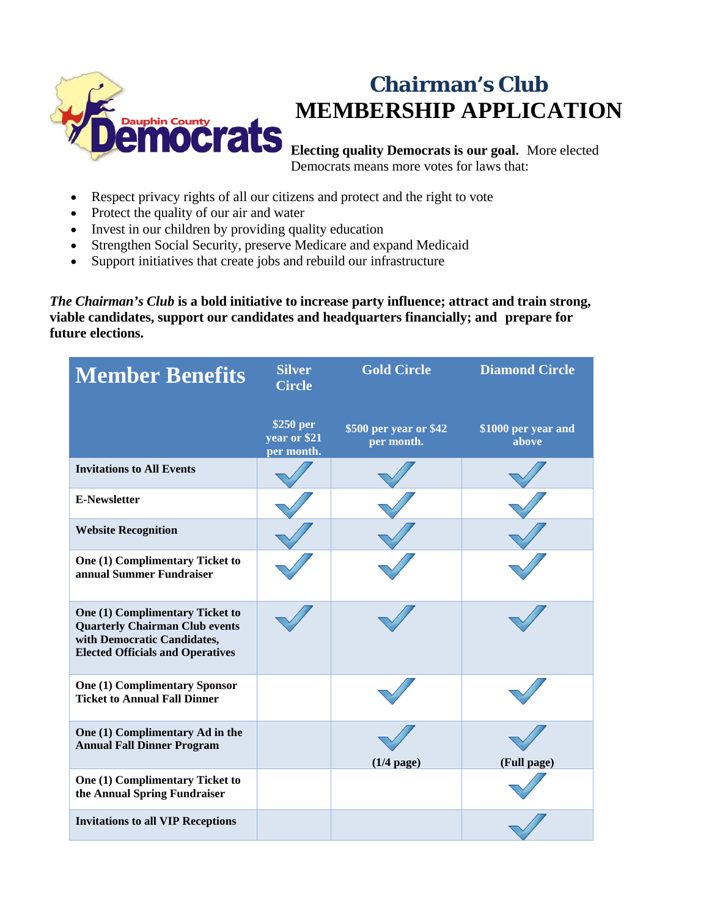

## **Chairman's Club MEMBERSHIP APPLICATION**

**Electing quality Democrats is our goal.** More elected Democrats means more votes for laws that:

- Respect privacy rights of all our citizens and protect and the right to vote
- Protect the quality of our air and water
- Invest in our children by providing quality education
- Strengthen Social Security, preserve Medicare and expand Medicaid
- Support initiatives that create jobs and rebuild our infrastructure

*The Chairman's Club* **is a bold initiative to increase party influence; attract and train strong, viable candidates, support our candidates and headquarters financially; and prepare for future elections.**

| <b>Member Benefits</b>                                                                                                                                    | <b>Silver</b><br><b>Circle</b>          | <b>Gold Circle</b>                   | <b>Diamond Circle</b>        |
|-----------------------------------------------------------------------------------------------------------------------------------------------------------|-----------------------------------------|--------------------------------------|------------------------------|
|                                                                                                                                                           | \$250 per<br>year or \$21<br>per month. | \$500 per year or \$42<br>per month. | \$1000 per year and<br>above |
| <b>Invitations to All Events</b>                                                                                                                          |                                         |                                      |                              |
| <b>E-Newsletter</b>                                                                                                                                       |                                         |                                      |                              |
| <b>Website Recognition</b>                                                                                                                                |                                         |                                      |                              |
| One (1) Complimentary Ticket to<br>annual Summer Fundraiser                                                                                               |                                         |                                      |                              |
| <b>One (1) Complimentary Ticket to</b><br><b>Quarterly Chairman Club events</b><br>with Democratic Candidates,<br><b>Elected Officials and Operatives</b> |                                         |                                      |                              |
| <b>One (1) Complimentary Sponsor</b><br><b>Ticket to Annual Fall Dinner</b>                                                                               |                                         |                                      |                              |
| One (1) Complimentary Ad in the<br><b>Annual Fall Dinner Program</b>                                                                                      |                                         | $(1/4$ page)                         | (Full page)                  |
| One (1) Complimentary Ticket to<br>the Annual Spring Fundraiser                                                                                           |                                         |                                      |                              |
| <b>Invitations to all VIP Receptions</b>                                                                                                                  |                                         |                                      |                              |